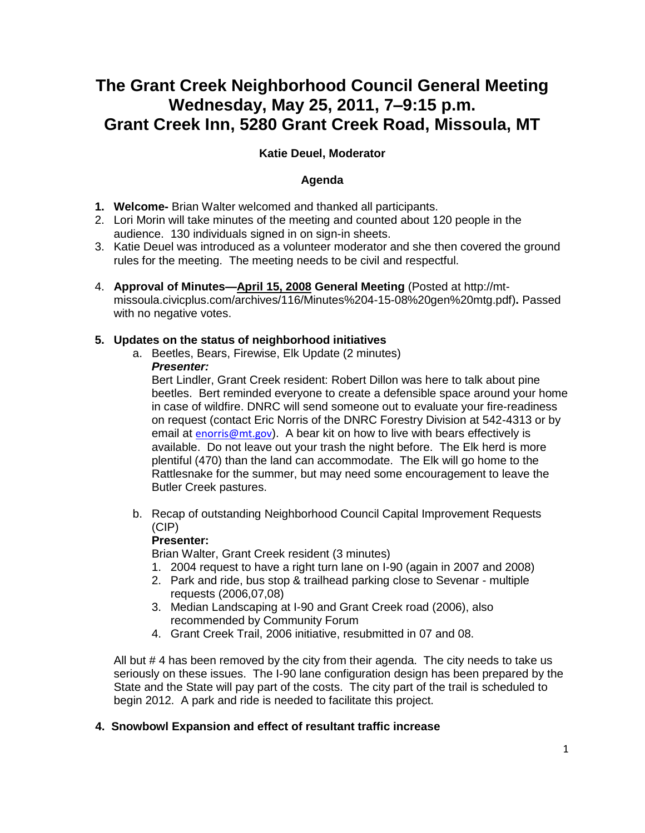# **The Grant Creek Neighborhood Council General Meeting Wednesday, May 25, 2011, 7–9:15 p.m. Grant Creek Inn, 5280 Grant Creek Road, Missoula, MT**

# **Katie Deuel, Moderator**

## **Agenda**

- **1. Welcome-** Brian Walter welcomed and thanked all participants.
- 2. Lori Morin will take minutes of the meeting and counted about 120 people in the audience. 130 individuals signed in on sign-in sheets.
- 3. Katie Deuel was introduced as a volunteer moderator and she then covered the ground rules for the meeting. The meeting needs to be civil and respectful.
- 4. **Approval of Minutes[—April 15, 2008](http://www.ci.missoula.mt.us/Archive.aspx?ADID=298) General Meeting** (Posted at http://mtmissoula.civicplus.com/archives/116/Minutes%204-15-08%20gen%20mtg.pdf)**.** Passed with no negative votes.

#### **5. Updates on the status of neighborhood initiatives**

a. Beetles, Bears, Firewise, Elk Update (2 minutes) *Presenter:*

Bert Lindler, Grant Creek resident: Robert Dillon was here to talk about pine beetles. Bert reminded everyone to create a defensible space around your home in case of wildfire. DNRC will send someone out to evaluate your fire-readiness on request (contact Eric Norris of the DNRC Forestry Division at 542-4313 or by email at [enorris@mt.gov](mailto:enorris@mt.gov)). A bear kit on how to live with bears effectively is available. Do not leave out your trash the night before. The Elk herd is more plentiful (470) than the land can accommodate. The Elk will go home to the Rattlesnake for the summer, but may need some encouragement to leave the Butler Creek pastures.

b. Recap of outstanding Neighborhood Council Capital Improvement Requests (CIP)

#### **Presenter:**

Brian Walter, Grant Creek resident (3 minutes)

- 1. 2004 request to have a right turn lane on I-90 (again in 2007 and 2008)
- 2. Park and ride, bus stop & trailhead parking close to Sevenar multiple requests (2006,07,08)
- 3. Median Landscaping at I-90 and Grant Creek road (2006), also recommended by Community Forum
- 4. Grant Creek Trail, 2006 initiative, resubmitted in 07 and 08.

All but # 4 has been removed by the city from their agenda. The city needs to take us seriously on these issues. The I-90 lane configuration design has been prepared by the State and the State will pay part of the costs. The city part of the trail is scheduled to begin 2012. A park and ride is needed to facilitate this project.

#### **4. Snowbowl Expansion and effect of resultant traffic increase**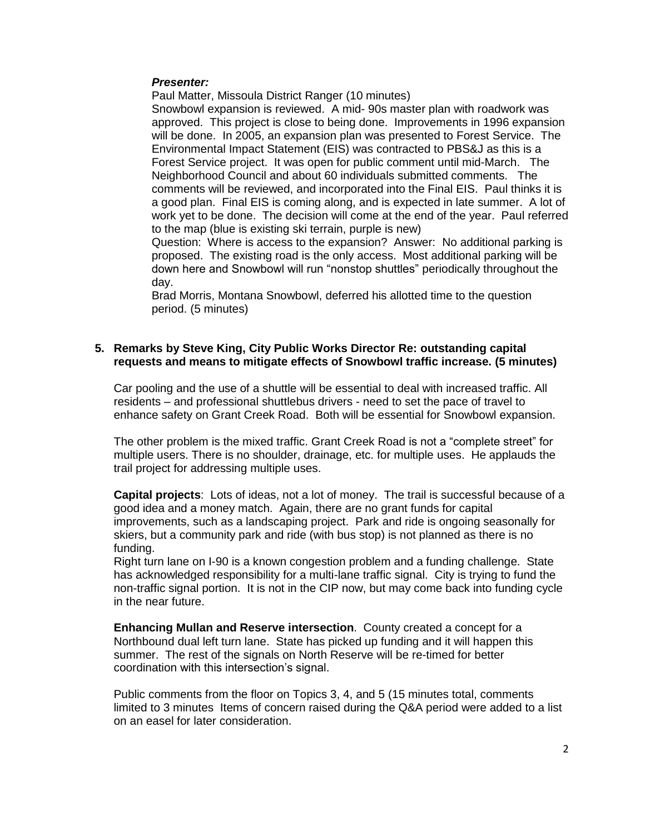#### *Presenter:*

Paul Matter, Missoula District Ranger (10 minutes)

Snowbowl expansion is reviewed. A mid- 90s master plan with roadwork was approved. This project is close to being done. Improvements in 1996 expansion will be done. In 2005, an expansion plan was presented to Forest Service. The Environmental Impact Statement (EIS) was contracted to PBS&J as this is a Forest Service project. It was open for public comment until mid-March. The Neighborhood Council and about 60 individuals submitted comments. The comments will be reviewed, and incorporated into the Final EIS. Paul thinks it is a good plan. Final EIS is coming along, and is expected in late summer. A lot of work yet to be done. The decision will come at the end of the year. Paul referred to the map (blue is existing ski terrain, purple is new)

Question: Where is access to the expansion? Answer: No additional parking is proposed. The existing road is the only access. Most additional parking will be down here and Snowbowl will run "nonstop shuttles" periodically throughout the day.

Brad Morris, Montana Snowbowl, deferred his allotted time to the question period. (5 minutes)

#### **5. Remarks by Steve King, City Public Works Director Re: outstanding capital requests and means to mitigate effects of Snowbowl traffic increase. (5 minutes)**

Car pooling and the use of a shuttle will be essential to deal with increased traffic. All residents – and professional shuttlebus drivers - need to set the pace of travel to enhance safety on Grant Creek Road. Both will be essential for Snowbowl expansion.

The other problem is the mixed traffic. Grant Creek Road is not a "complete street" for multiple users. There is no shoulder, drainage, etc. for multiple uses. He applauds the trail project for addressing multiple uses.

**Capital projects**: Lots of ideas, not a lot of money. The trail is successful because of a good idea and a money match. Again, there are no grant funds for capital improvements, such as a landscaping project. Park and ride is ongoing seasonally for skiers, but a community park and ride (with bus stop) is not planned as there is no funding.

Right turn lane on I-90 is a known congestion problem and a funding challenge. State has acknowledged responsibility for a multi-lane traffic signal. City is trying to fund the non-traffic signal portion. It is not in the CIP now, but may come back into funding cycle in the near future.

**Enhancing Mullan and Reserve intersection**. County created a concept for a Northbound dual left turn lane. State has picked up funding and it will happen this summer. The rest of the signals on North Reserve will be re-timed for better coordination with this intersection's signal.

Public comments from the floor on Topics 3, 4, and 5 (15 minutes total, comments limited to 3 minutes Items of concern raised during the Q&A period were added to a list on an easel for later consideration.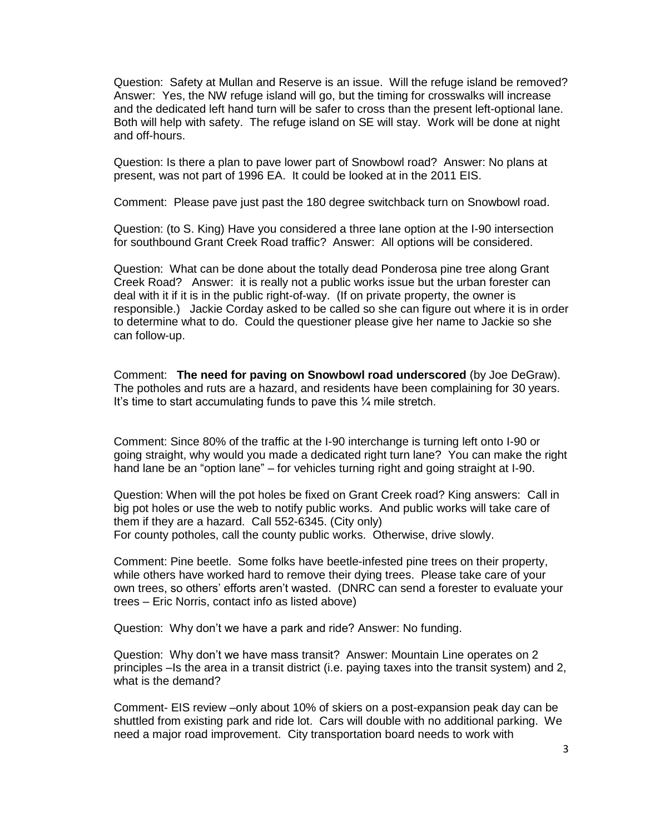Question: Safety at Mullan and Reserve is an issue. Will the refuge island be removed? Answer: Yes, the NW refuge island will go, but the timing for crosswalks will increase and the dedicated left hand turn will be safer to cross than the present left-optional lane. Both will help with safety. The refuge island on SE will stay. Work will be done at night and off-hours.

Question: Is there a plan to pave lower part of Snowbowl road? Answer: No plans at present, was not part of 1996 EA. It could be looked at in the 2011 EIS.

Comment: Please pave just past the 180 degree switchback turn on Snowbowl road.

Question: (to S. King) Have you considered a three lane option at the I-90 intersection for southbound Grant Creek Road traffic? Answer: All options will be considered.

Question: What can be done about the totally dead Ponderosa pine tree along Grant Creek Road? Answer: it is really not a public works issue but the urban forester can deal with it if it is in the public right-of-way. (If on private property, the owner is responsible.) Jackie Corday asked to be called so she can figure out where it is in order to determine what to do. Could the questioner please give her name to Jackie so she can follow-up.

Comment: **The need for paving on Snowbowl road underscored** (by Joe DeGraw). The potholes and ruts are a hazard, and residents have been complaining for 30 years. It's time to start accumulating funds to pave this ¼ mile stretch.

Comment: Since 80% of the traffic at the I-90 interchange is turning left onto I-90 or going straight, why would you made a dedicated right turn lane? You can make the right hand lane be an "option lane" – for vehicles turning right and going straight at I-90.

Question: When will the pot holes be fixed on Grant Creek road? King answers: Call in big pot holes or use the web to notify public works. And public works will take care of them if they are a hazard. Call 552-6345. (City only) For county potholes, call the county public works. Otherwise, drive slowly.

Comment: Pine beetle. Some folks have beetle-infested pine trees on their property, while others have worked hard to remove their dying trees. Please take care of your own trees, so others' efforts aren't wasted. (DNRC can send a forester to evaluate your trees – Eric Norris, contact info as listed above)

Question: Why don't we have a park and ride? Answer: No funding.

Question: Why don't we have mass transit? Answer: Mountain Line operates on 2 principles –Is the area in a transit district (i.e. paying taxes into the transit system) and 2, what is the demand?

Comment- EIS review –only about 10% of skiers on a post-expansion peak day can be shuttled from existing park and ride lot. Cars will double with no additional parking. We need a major road improvement. City transportation board needs to work with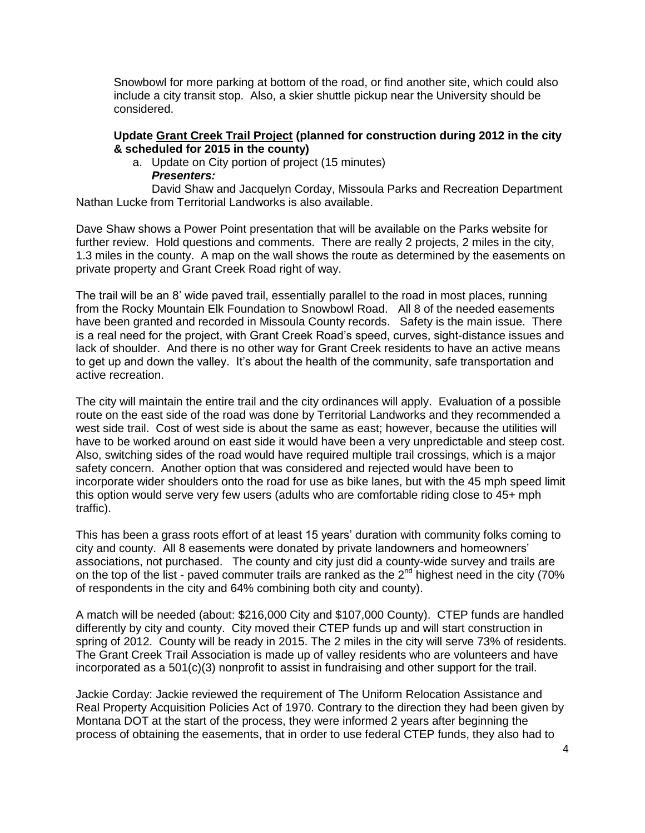Snowbowl for more parking at bottom of the road, or find another site, which could also include a city transit stop. Also, a skier shuttle pickup near the University should be considered.

#### **Update [Grant Creek Trail Project](http://www.ci.missoula.mt.us/index.aspx?nid=180) (planned for construction during 2012 in the city & scheduled for 2015 in the county)**

- a. Update on City portion of project (15 minutes)
	- *Presenters:*

David Shaw and Jacquelyn Corday, Missoula Parks and Recreation Department Nathan Lucke from Territorial Landworks is also available.

Dave Shaw shows a Power Point presentation that will be available on the Parks website for further review. Hold questions and comments. There are really 2 projects, 2 miles in the city, 1.3 miles in the county. A map on the wall shows the route as determined by the easements on private property and Grant Creek Road right of way.

The trail will be an 8' wide paved trail, essentially parallel to the road in most places, running from the Rocky Mountain Elk Foundation to Snowbowl Road. All 8 of the needed easements have been granted and recorded in Missoula County records. Safety is the main issue. There is a real need for the project, with Grant Creek Road's speed, curves, sight-distance issues and lack of shoulder. And there is no other way for Grant Creek residents to have an active means to get up and down the valley. It's about the health of the community, safe transportation and active recreation.

The city will maintain the entire trail and the city ordinances will apply. Evaluation of a possible route on the east side of the road was done by Territorial Landworks and they recommended a west side trail. Cost of west side is about the same as east; however, because the utilities will have to be worked around on east side it would have been a very unpredictable and steep cost. Also, switching sides of the road would have required multiple trail crossings, which is a major safety concern. Another option that was considered and rejected would have been to incorporate wider shoulders onto the road for use as bike lanes, but with the 45 mph speed limit this option would serve very few users (adults who are comfortable riding close to 45+ mph traffic).

This has been a grass roots effort of at least 15 years' duration with community folks coming to city and county. All 8 easements were donated by private landowners and homeowners' associations, not purchased. The county and city just did a county-wide survey and trails are on the top of the list - paved commuter trails are ranked as the 2<sup>nd</sup> highest need in the city (70% of respondents in the city and 64% combining both city and county).

A match will be needed (about: \$216,000 City and \$107,000 County). CTEP funds are handled differently by city and county. City moved their CTEP funds up and will start construction in spring of 2012. County will be ready in 2015. The 2 miles in the city will serve 73% of residents. The Grant Creek Trail Association is made up of valley residents who are volunteers and have incorporated as a 501(c)(3) nonprofit to assist in fundraising and other support for the trail.

Jackie Corday: Jackie reviewed the requirement of The Uniform Relocation Assistance and Real Property Acquisition Policies Act of 1970. Contrary to the direction they had been given by Montana DOT at the start of the process, they were informed 2 years after beginning the process of obtaining the easements, that in order to use federal CTEP funds, they also had to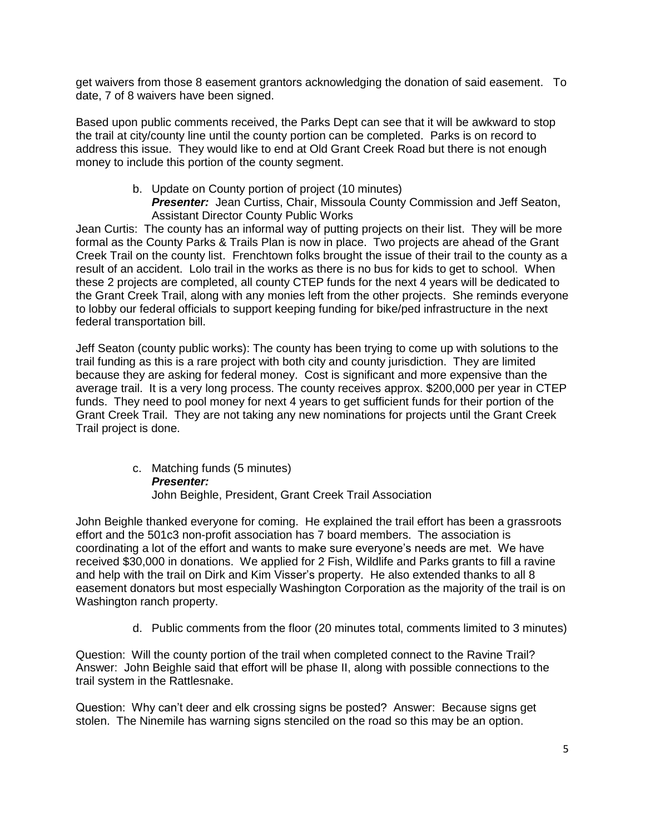get waivers from those 8 easement grantors acknowledging the donation of said easement. To date, 7 of 8 waivers have been signed.

Based upon public comments received, the Parks Dept can see that it will be awkward to stop the trail at city/county line until the county portion can be completed. Parks is on record to address this issue. They would like to end at Old Grant Creek Road but there is not enough money to include this portion of the county segment.

#### b. Update on County portion of project (10 minutes) **Presenter:** Jean Curtiss, Chair, Missoula County Commission and Jeff Seaton, Assistant Director County Public Works

Jean Curtis: The county has an informal way of putting projects on their list. They will be more formal as the County Parks & Trails Plan is now in place. Two projects are ahead of the Grant Creek Trail on the county list. Frenchtown folks brought the issue of their trail to the county as a result of an accident. Lolo trail in the works as there is no bus for kids to get to school. When these 2 projects are completed, all county CTEP funds for the next 4 years will be dedicated to the Grant Creek Trail, along with any monies left from the other projects. She reminds everyone to lobby our federal officials to support keeping funding for bike/ped infrastructure in the next federal transportation bill.

Jeff Seaton (county public works): The county has been trying to come up with solutions to the trail funding as this is a rare project with both city and county jurisdiction. They are limited because they are asking for federal money. Cost is significant and more expensive than the average trail. It is a very long process. The county receives approx. \$200,000 per year in CTEP funds. They need to pool money for next 4 years to get sufficient funds for their portion of the Grant Creek Trail. They are not taking any new nominations for projects until the Grant Creek Trail project is done.

> c. Matching funds (5 minutes) *Presenter:* John Beighle, President, Grant Creek Trail Association

John Beighle thanked everyone for coming. He explained the trail effort has been a grassroots effort and the 501c3 non-profit association has 7 board members. The association is coordinating a lot of the effort and wants to make sure everyone's needs are met. We have received \$30,000 in donations. We applied for 2 Fish, Wildlife and Parks grants to fill a ravine and help with the trail on Dirk and Kim Visser's property. He also extended thanks to all 8 easement donators but most especially Washington Corporation as the majority of the trail is on Washington ranch property.

d. Public comments from the floor (20 minutes total, comments limited to 3 minutes)

Question: Will the county portion of the trail when completed connect to the Ravine Trail? Answer: John Beighle said that effort will be phase II, along with possible connections to the trail system in the Rattlesnake.

Question: Why can't deer and elk crossing signs be posted? Answer: Because signs get stolen. The Ninemile has warning signs stenciled on the road so this may be an option.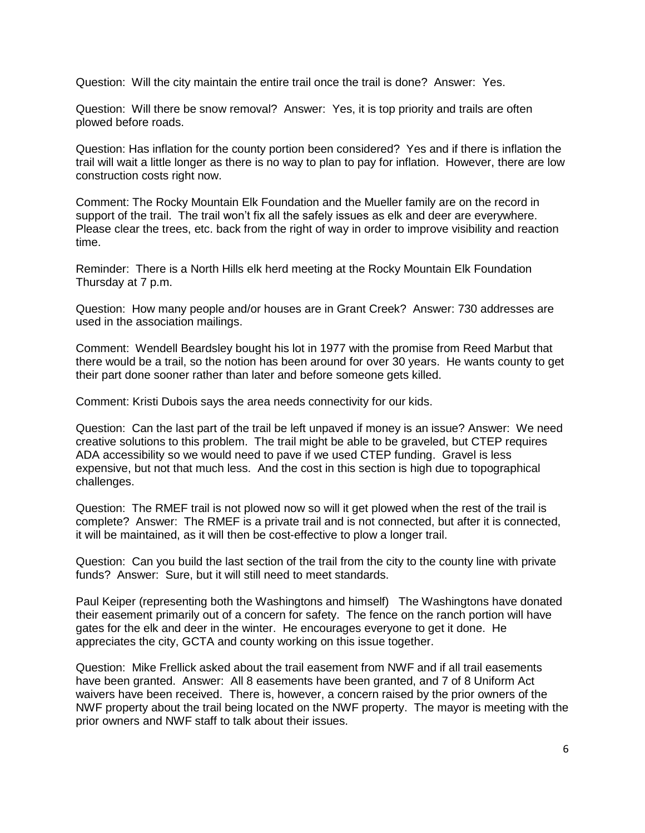Question: Will the city maintain the entire trail once the trail is done? Answer: Yes.

Question: Will there be snow removal? Answer: Yes, it is top priority and trails are often plowed before roads.

Question: Has inflation for the county portion been considered? Yes and if there is inflation the trail will wait a little longer as there is no way to plan to pay for inflation. However, there are low construction costs right now.

Comment: The Rocky Mountain Elk Foundation and the Mueller family are on the record in support of the trail. The trail won't fix all the safely issues as elk and deer are everywhere. Please clear the trees, etc. back from the right of way in order to improve visibility and reaction time.

Reminder: There is a North Hills elk herd meeting at the Rocky Mountain Elk Foundation Thursday at 7 p.m.

Question: How many people and/or houses are in Grant Creek? Answer: 730 addresses are used in the association mailings.

Comment: Wendell Beardsley bought his lot in 1977 with the promise from Reed Marbut that there would be a trail, so the notion has been around for over 30 years. He wants county to get their part done sooner rather than later and before someone gets killed.

Comment: Kristi Dubois says the area needs connectivity for our kids.

Question: Can the last part of the trail be left unpaved if money is an issue? Answer: We need creative solutions to this problem. The trail might be able to be graveled, but CTEP requires ADA accessibility so we would need to pave if we used CTEP funding. Gravel is less expensive, but not that much less. And the cost in this section is high due to topographical challenges.

Question: The RMEF trail is not plowed now so will it get plowed when the rest of the trail is complete? Answer: The RMEF is a private trail and is not connected, but after it is connected, it will be maintained, as it will then be cost-effective to plow a longer trail.

Question: Can you build the last section of the trail from the city to the county line with private funds? Answer: Sure, but it will still need to meet standards.

Paul Keiper (representing both the Washingtons and himself) The Washingtons have donated their easement primarily out of a concern for safety. The fence on the ranch portion will have gates for the elk and deer in the winter. He encourages everyone to get it done. He appreciates the city, GCTA and county working on this issue together.

Question: Mike Frellick asked about the trail easement from NWF and if all trail easements have been granted. Answer: All 8 easements have been granted, and 7 of 8 Uniform Act waivers have been received. There is, however, a concern raised by the prior owners of the NWF property about the trail being located on the NWF property. The mayor is meeting with the prior owners and NWF staff to talk about their issues.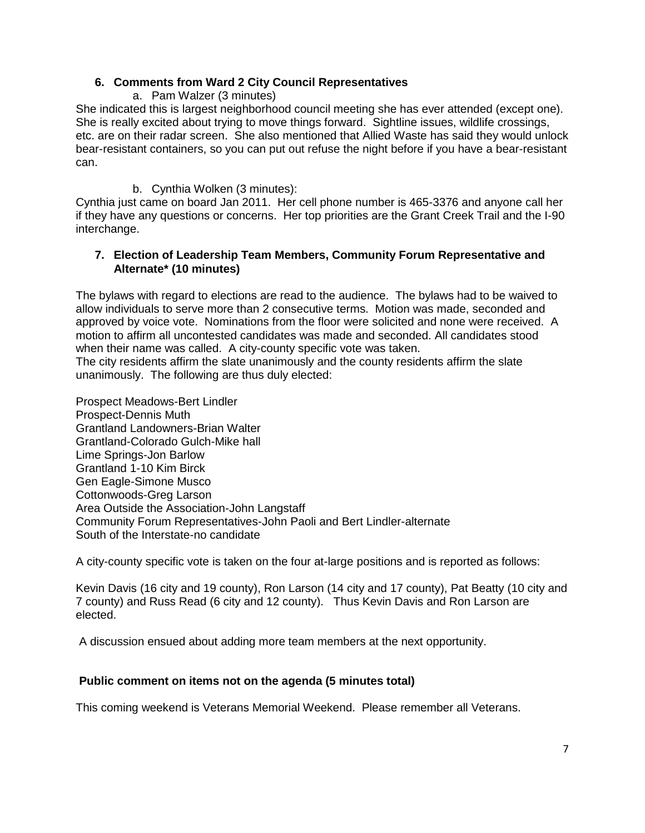## **6. Comments from Ward 2 City Council Representatives**

a. Pam Walzer (3 minutes)

She indicated this is largest neighborhood council meeting she has ever attended (except one). She is really excited about trying to move things forward. Sightline issues, wildlife crossings, etc. are on their radar screen. She also mentioned that Allied Waste has said they would unlock bear-resistant containers, so you can put out refuse the night before if you have a bear-resistant can.

b. Cynthia Wolken (3 minutes):

Cynthia just came on board Jan 2011. Her cell phone number is 465-3376 and anyone call her if they have any questions or concerns. Her top priorities are the Grant Creek Trail and the I-90 interchange.

## **7. Election of Leadership Team Members, Community Forum Representative and Alternate\* (10 minutes)**

The bylaws with regard to elections are read to the audience. The bylaws had to be waived to allow individuals to serve more than 2 consecutive terms. Motion was made, seconded and approved by voice vote. Nominations from the floor were solicited and none were received. A motion to affirm all uncontested candidates was made and seconded. All candidates stood when their name was called. A city-county specific vote was taken. The city residents affirm the slate unanimously and the county residents affirm the slate unanimously. The following are thus duly elected:

Prospect Meadows-Bert Lindler Prospect-Dennis Muth Grantland Landowners-Brian Walter Grantland-Colorado Gulch-Mike hall Lime Springs-Jon Barlow Grantland 1-10 Kim Birck Gen Eagle-Simone Musco Cottonwoods-Greg Larson Area Outside the Association-John Langstaff Community Forum Representatives-John Paoli and Bert Lindler-alternate South of the Interstate-no candidate

A city-county specific vote is taken on the four at-large positions and is reported as follows:

Kevin Davis (16 city and 19 county), Ron Larson (14 city and 17 county), Pat Beatty (10 city and 7 county) and Russ Read (6 city and 12 county). Thus Kevin Davis and Ron Larson are elected.

A discussion ensued about adding more team members at the next opportunity.

## **Public comment on items not on the agenda (5 minutes total)**

This coming weekend is Veterans Memorial Weekend. Please remember all Veterans.